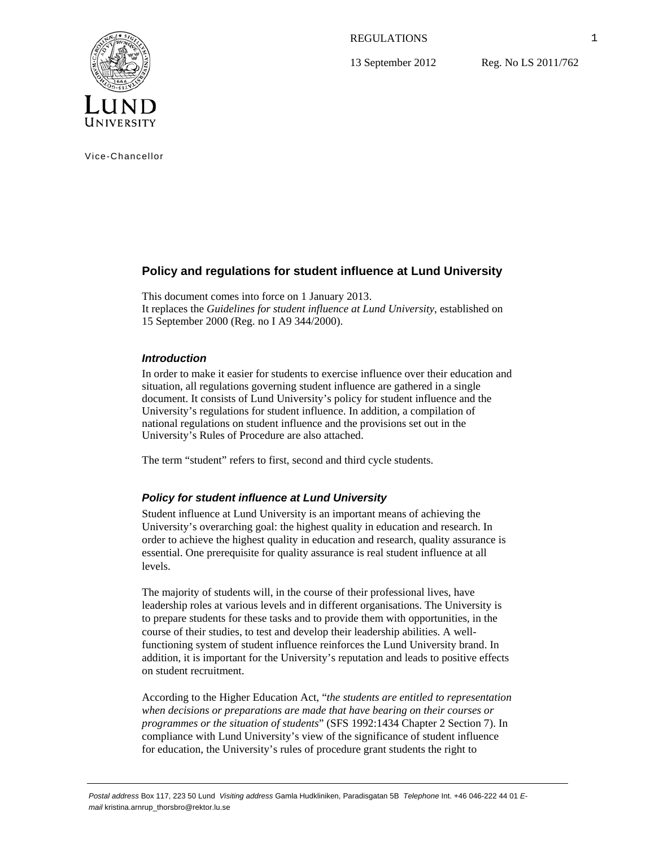REGULATIONS

13 September 2012

Reg. No LS 2011/762



Vice-Chancellor

# **Policy and regulations for student influence at Lund University**

This document comes into force on 1 January 2013. It replaces the *Guidelines for student influence at Lund University*, established on 15 September 2000 (Reg. no I A9 344/2000).

## *Introduction*

In order to make it easier for students to exercise influence over their education and situation, all regulations governing student influence are gathered in a single document. It consists of Lund University's policy for student influence and the University's regulations for student influence. In addition, a compilation of national regulations on student influence and the provisions set out in the University's Rules of Procedure are also attached.

The term "student" refers to first, second and third cycle students.

## *Policy for student influence at Lund University*

Student influence at Lund University is an important means of achieving the University's overarching goal: the highest quality in education and research. In order to achieve the highest quality in education and research, quality assurance is essential. One prerequisite for quality assurance is real student influence at all levels.

The majority of students will, in the course of their professional lives, have leadership roles at various levels and in different organisations. The University is to prepare students for these tasks and to provide them with opportunities, in the course of their studies, to test and develop their leadership abilities. A wellfunctioning system of student influence reinforces the Lund University brand. In addition, it is important for the University's reputation and leads to positive effects on student recruitment.

According to the Higher Education Act, "*the students are entitled to representation when decisions or preparations are made that have bearing on their courses or programmes or the situation of students*" (SFS 1992:1434 Chapter 2 Section 7). In compliance with Lund University's view of the significance of student influence for education, the University's rules of procedure grant students the right to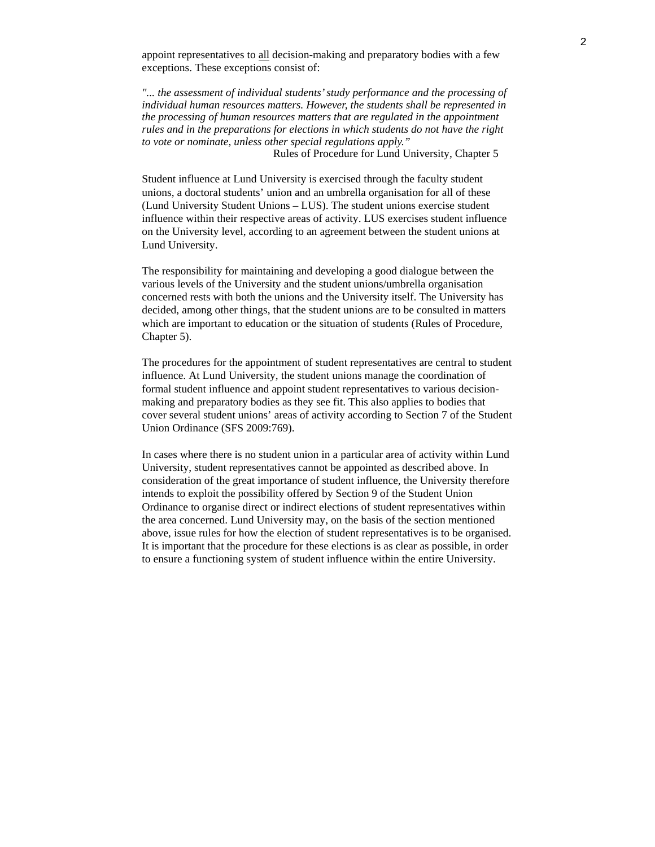appoint representatives to all decision-making and preparatory bodies with a few exceptions. These exceptions consist of:

*"... the assessment of individual students' study performance and the processing of individual human resources matters. However, the students shall be represented in the processing of human resources matters that are regulated in the appointment rules and in the preparations for elections in which students do not have the right to vote or nominate, unless other special regulations apply."*  Rules of Procedure for Lund University, Chapter 5

Student influence at Lund University is exercised through the faculty student unions, a doctoral students' union and an umbrella organisation for all of these (Lund University Student Unions – LUS). The student unions exercise student influence within their respective areas of activity. LUS exercises student influence on the University level, according to an agreement between the student unions at Lund University.

The responsibility for maintaining and developing a good dialogue between the various levels of the University and the student unions/umbrella organisation concerned rests with both the unions and the University itself. The University has decided, among other things, that the student unions are to be consulted in matters which are important to education or the situation of students (Rules of Procedure, Chapter 5).

The procedures for the appointment of student representatives are central to student influence. At Lund University, the student unions manage the coordination of formal student influence and appoint student representatives to various decisionmaking and preparatory bodies as they see fit. This also applies to bodies that cover several student unions' areas of activity according to Section 7 of the Student Union Ordinance (SFS 2009:769).

In cases where there is no student union in a particular area of activity within Lund University, student representatives cannot be appointed as described above. In consideration of the great importance of student influence, the University therefore intends to exploit the possibility offered by Section 9 of the Student Union Ordinance to organise direct or indirect elections of student representatives within the area concerned. Lund University may, on the basis of the section mentioned above, issue rules for how the election of student representatives is to be organised. It is important that the procedure for these elections is as clear as possible, in order to ensure a functioning system of student influence within the entire University.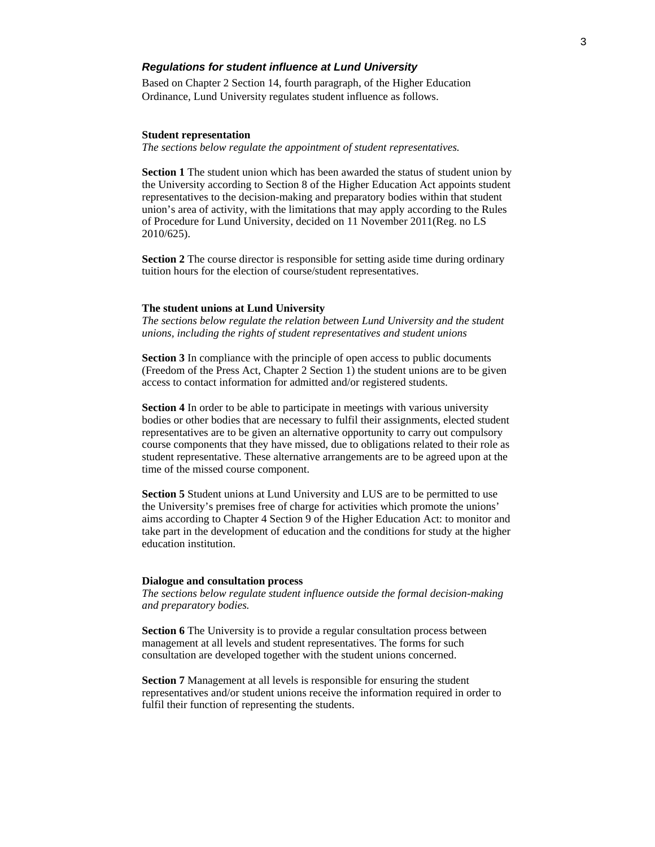## *Regulations for student influence at Lund University*

Based on Chapter 2 Section 14, fourth paragraph, of the Higher Education Ordinance, Lund University regulates student influence as follows.

#### **Student representation**

*The sections below regulate the appointment of student representatives.* 

**Section 1** The student union which has been awarded the status of student union by the University according to Section 8 of the Higher Education Act appoints student representatives to the decision-making and preparatory bodies within that student union's area of activity, with the limitations that may apply according to the Rules of Procedure for Lund University, decided on 11 November 2011(Reg. no LS 2010/625).

**Section 2** The course director is responsible for setting aside time during ordinary tuition hours for the election of course/student representatives.

#### **The student unions at Lund University**

*The sections below regulate the relation between Lund University and the student unions, including the rights of student representatives and student unions* 

**Section 3** In compliance with the principle of open access to public documents (Freedom of the Press Act, Chapter 2 Section 1) the student unions are to be given access to contact information for admitted and/or registered students.

**Section 4** In order to be able to participate in meetings with various university bodies or other bodies that are necessary to fulfil their assignments, elected student representatives are to be given an alternative opportunity to carry out compulsory course components that they have missed, due to obligations related to their role as student representative. These alternative arrangements are to be agreed upon at the time of the missed course component.

**Section 5** Student unions at Lund University and LUS are to be permitted to use the University's premises free of charge for activities which promote the unions' aims according to Chapter 4 Section 9 of the Higher Education Act: to monitor and take part in the development of education and the conditions for study at the higher education institution.

#### **Dialogue and consultation process**

*The sections below regulate student influence outside the formal decision-making and preparatory bodies.* 

**Section 6** The University is to provide a regular consultation process between management at all levels and student representatives. The forms for such consultation are developed together with the student unions concerned.

**Section 7** Management at all levels is responsible for ensuring the student representatives and/or student unions receive the information required in order to fulfil their function of representing the students.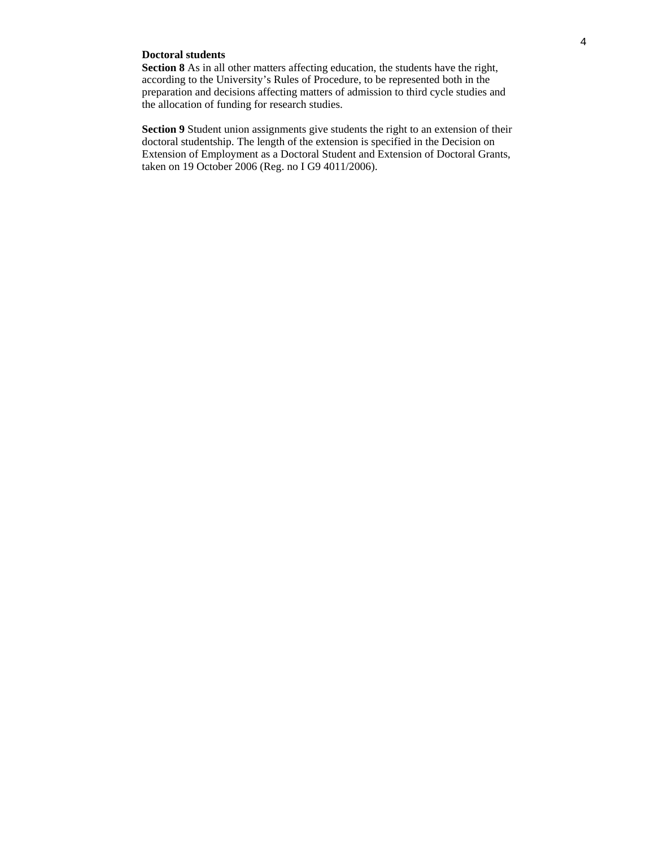## **Doctoral students**

**Section 8** As in all other matters affecting education, the students have the right, according to the University's Rules of Procedure, to be represented both in the preparation and decisions affecting matters of admission to third cycle studies and the allocation of funding for research studies.

**Section 9** Student union assignments give students the right to an extension of their doctoral studentship. The length of the extension is specified in the Decision on Extension of Employment as a Doctoral Student and Extension of Doctoral Grants, taken on 19 October 2006 (Reg. no I G9 4011/2006).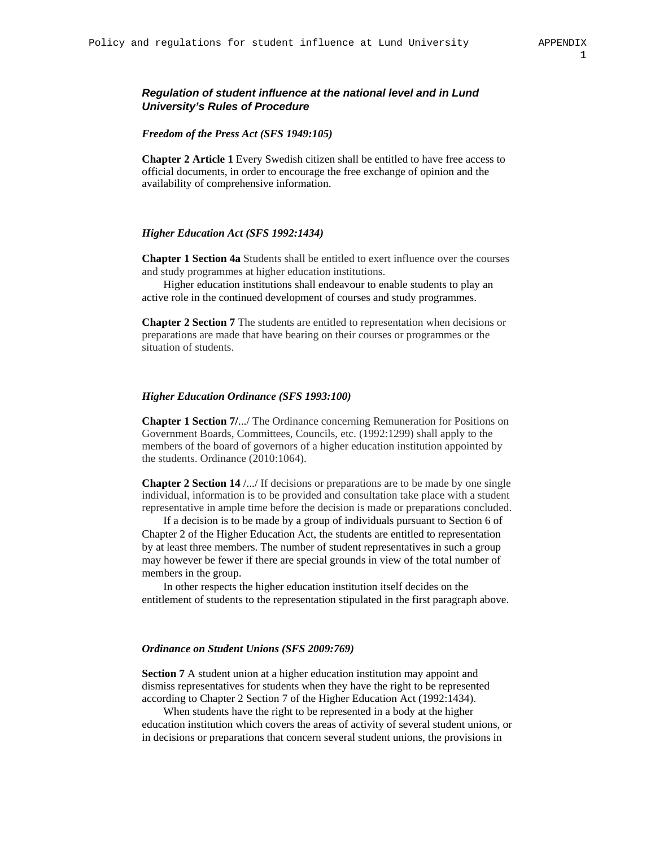## *Regulation of student influence at the national level and in Lund University's Rules of Procedure*

#### *Freedom of the Press Act (SFS 1949:105)*

**Chapter 2 Article 1** Every Swedish citizen shall be entitled to have free access to official documents, in order to encourage the free exchange of opinion and the availability of comprehensive information.

#### *Higher Education Act (SFS 1992:1434)*

**Chapter 1 Section 4a** Students shall be entitled to exert influence over the courses and study programmes at higher education institutions.

Higher education institutions shall endeavour to enable students to play an active role in the continued development of courses and study programmes.

**Chapter 2 Section 7** The students are entitled to representation when decisions or preparations are made that have bearing on their courses or programmes or the situation of students.

### *Higher Education Ordinance (SFS 1993:100)*

**Chapter 1 Section 7/**.../ The Ordinance concerning Remuneration for Positions on Government Boards, Committees, Councils, etc. (1992:1299) shall apply to the members of the board of governors of a higher education institution appointed by the students. Ordinance (2010:1064).

**Chapter 2 Section 14** /.../ If decisions or preparations are to be made by one single individual, information is to be provided and consultation take place with a student representative in ample time before the decision is made or preparations concluded.

If a decision is to be made by a group of individuals pursuant to Section 6 of Chapter 2 of the Higher Education Act, the students are entitled to representation by at least three members. The number of student representatives in such a group may however be fewer if there are special grounds in view of the total number of members in the group.

In other respects the higher education institution itself decides on the entitlement of students to the representation stipulated in the first paragraph above.

#### *Ordinance on Student Unions (SFS 2009:769)*

**Section 7** A student union at a higher education institution may appoint and dismiss representatives for students when they have the right to be represented according to Chapter 2 Section 7 of the Higher Education Act (1992:1434).

When students have the right to be represented in a body at the higher education institution which covers the areas of activity of several student unions, or in decisions or preparations that concern several student unions, the provisions in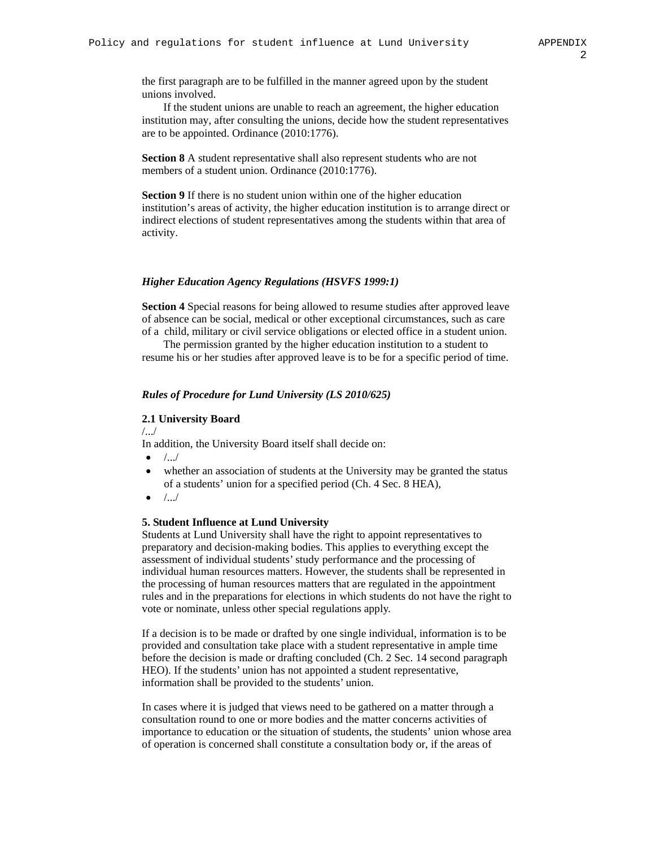the first paragraph are to be fulfilled in the manner agreed upon by the student unions involved.

If the student unions are unable to reach an agreement, the higher education institution may, after consulting the unions, decide how the student representatives are to be appointed. Ordinance (2010:1776).

**Section 8** A student representative shall also represent students who are not members of a student union. Ordinance (2010:1776).

**Section 9** If there is no student union within one of the higher education institution's areas of activity, the higher education institution is to arrange direct or indirect elections of student representatives among the students within that area of activity.

#### *Higher Education Agency Regulations (HSVFS 1999:1)*

**Section 4** Special reasons for being allowed to resume studies after approved leave of absence can be social, medical or other exceptional circumstances, such as care of a child, military or civil service obligations or elected office in a student union.

The permission granted by the higher education institution to a student to resume his or her studies after approved leave is to be for a specific period of time.

#### *Rules of Procedure for Lund University (LS 2010/625)*

#### **2.1 University Board**

/.../

In addition, the University Board itself shall decide on:

- $\bullet$  /.../
- whether an association of students at the University may be granted the status of a students' union for a specified period (Ch. 4 Sec. 8 HEA),
- $\bullet$  /.../

### **5. Student Influence at Lund University**

Students at Lund University shall have the right to appoint representatives to preparatory and decision-making bodies. This applies to everything except the assessment of individual students' study performance and the processing of individual human resources matters. However, the students shall be represented in the processing of human resources matters that are regulated in the appointment rules and in the preparations for elections in which students do not have the right to vote or nominate, unless other special regulations apply.

If a decision is to be made or drafted by one single individual, information is to be provided and consultation take place with a student representative in ample time before the decision is made or drafting concluded (Ch. 2 Sec. 14 second paragraph HEO). If the students' union has not appointed a student representative, information shall be provided to the students' union.

In cases where it is judged that views need to be gathered on a matter through a consultation round to one or more bodies and the matter concerns activities of importance to education or the situation of students, the students' union whose area of operation is concerned shall constitute a consultation body or, if the areas of